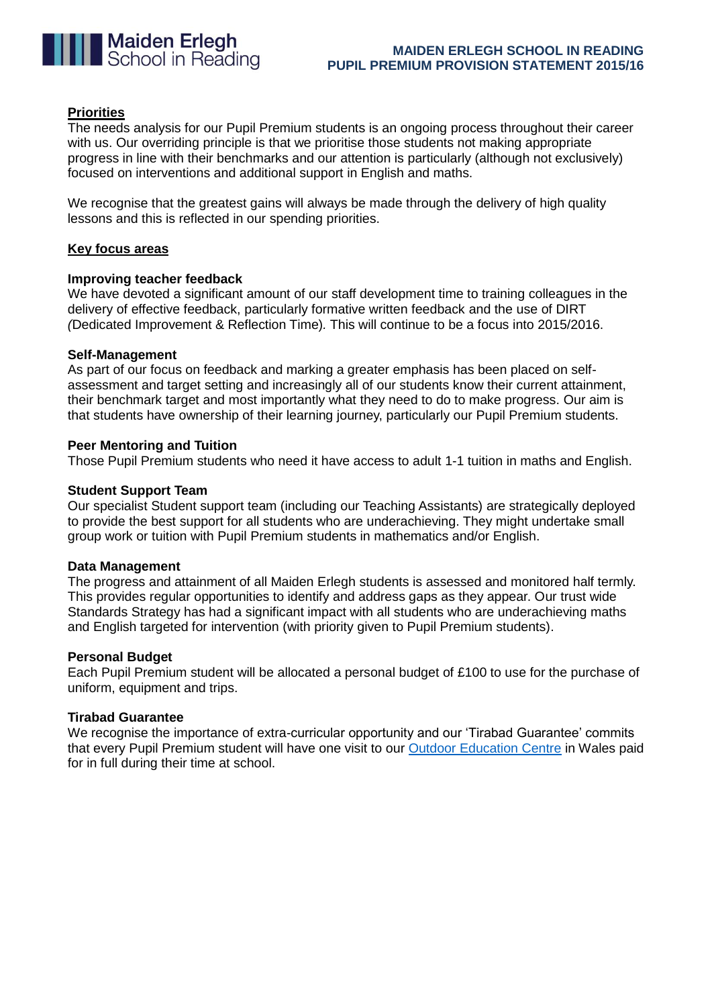

# **Priorities**

The needs analysis for our Pupil Premium students is an ongoing process throughout their career with us. Our overriding principle is that we prioritise those students not making appropriate progress in line with their benchmarks and our attention is particularly (although not exclusively) focused on interventions and additional support in English and maths.

We recognise that the greatest gains will always be made through the delivery of high quality lessons and this is reflected in our spending priorities.

## **Key focus areas**

## **Improving teacher feedback**

We have devoted a significant amount of our staff development time to training colleagues in the delivery of effective feedback, particularly formative written feedback and the use of DIRT *(*Dedicated Improvement & Reflection Time)*.* This will continue to be a focus into 2015/2016.

## **Self-Management**

As part of our focus on feedback and marking a greater emphasis has been placed on selfassessment and target setting and increasingly all of our students know their current attainment, their benchmark target and most importantly what they need to do to make progress. Our aim is that students have ownership of their learning journey, particularly our Pupil Premium students.

## **Peer Mentoring and Tuition**

Those Pupil Premium students who need it have access to adult 1-1 tuition in maths and English.

## **Student Support Team**

Our specialist Student support team (including our Teaching Assistants) are strategically deployed to provide the best support for all students who are underachieving. They might undertake small group work or tuition with Pupil Premium students in mathematics and/or English.

#### **Data Management**

The progress and attainment of all Maiden Erlegh students is assessed and monitored half termly. This provides regular opportunities to identify and address gaps as they appear. Our trust wide Standards Strategy has had a significant impact with all students who are underachieving maths and English targeted for intervention (with priority given to Pupil Premium students).

#### **Personal Budget**

Each Pupil Premium student will be allocated a personal budget of £100 to use for the purchase of uniform, equipment and trips.

## **Tirabad Guarantee**

We recognise the importance of extra-curricular opportunity and our 'Tirabad Guarantee' commits that every Pupil Premium student will have one visit to our [Outdoor Education Centre](http://maidenerleghschool.co.uk/information/tirabad-2) in Wales paid for in full during their time at school.